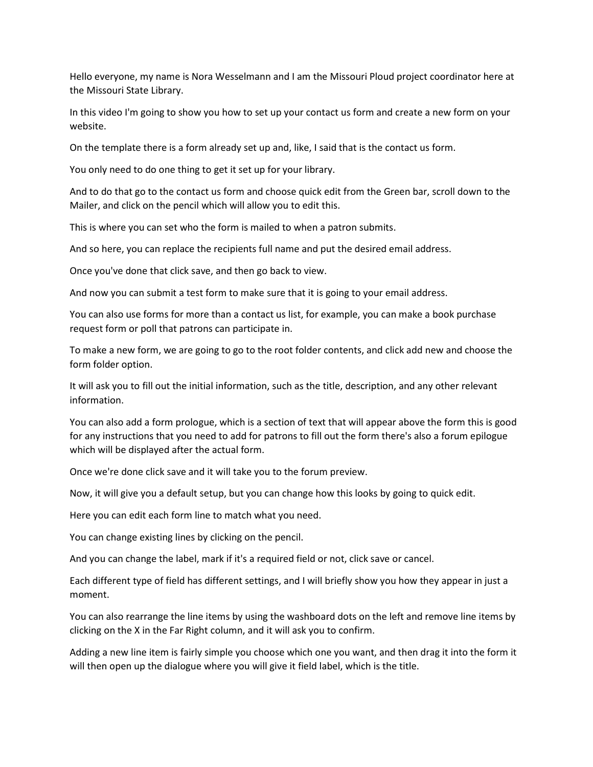Hello everyone, my name is Nora Wesselmann and I am the Missouri Ploud project coordinator here at the Missouri State Library.

In this video I'm going to show you how to set up your contact us form and create a new form on your website.

On the template there is a form already set up and, like, I said that is the contact us form.

You only need to do one thing to get it set up for your library.

And to do that go to the contact us form and choose quick edit from the Green bar, scroll down to the Mailer, and click on the pencil which will allow you to edit this.

This is where you can set who the form is mailed to when a patron submits.

And so here, you can replace the recipients full name and put the desired email address.

Once you've done that click save, and then go back to view.

And now you can submit a test form to make sure that it is going to your email address.

You can also use forms for more than a contact us list, for example, you can make a book purchase request form or poll that patrons can participate in.

To make a new form, we are going to go to the root folder contents, and click add new and choose the form folder option.

It will ask you to fill out the initial information, such as the title, description, and any other relevant information.

You can also add a form prologue, which is a section of text that will appear above the form this is good for any instructions that you need to add for patrons to fill out the form there's also a forum epilogue which will be displayed after the actual form.

Once we're done click save and it will take you to the forum preview.

Now, it will give you a default setup, but you can change how this looks by going to quick edit.

Here you can edit each form line to match what you need.

You can change existing lines by clicking on the pencil.

And you can change the label, mark if it's a required field or not, click save or cancel.

Each different type of field has different settings, and I will briefly show you how they appear in just a moment.

You can also rearrange the line items by using the washboard dots on the left and remove line items by clicking on the X in the Far Right column, and it will ask you to confirm.

Adding a new line item is fairly simple you choose which one you want, and then drag it into the form it will then open up the dialogue where you will give it field label, which is the title.